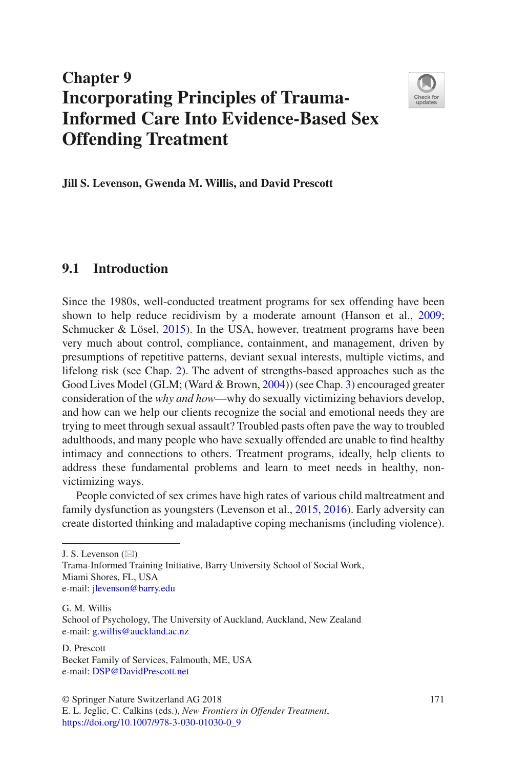# **Chapter 9 Incorporating Principles of Trauma-Informed Care Into Evidence-Based Sex Offending Treatment**



**Jill S. Levenson, Gwenda M. Willis, and David Prescott**

## **9.1 Introduction**

Since the 1980s, well-conducted treatment programs for sex offending have been shown to help reduce recidivism by a moderate amount (Hanson et al., [2009;](#page-14-0) Schmucker & Lösel, [2015](#page-17-0)). In the USA, however, treatment programs have been very much about control, compliance, containment, and management, driven by presumptions of repetitive patterns, deviant sexual interests, multiple victims, and lifelong risk (see Chap. [2\)](https://doi.org/10.1007/978-3-030-01030-0_2). The advent of strengths-based approaches such as the Good Lives Model (GLM; (Ward & Brown, [2004\)](#page-17-1)) (see Chap. [3\)](https://doi.org/10.1007/978-3-030-01030-0_3) encouraged greater consideration of the *why and how*—why do sexually victimizing behaviors develop, and how can we help our clients recognize the social and emotional needs they are trying to meet through sexual assault? Troubled pasts often pave the way to troubled adulthoods, and many people who have sexually offended are unable to find healthy intimacy and connections to others. Treatment programs, ideally, help clients to address these fundamental problems and learn to meet needs in healthy, nonvictimizing ways.

People convicted of sex crimes have high rates of various child maltreatment and family dysfunction as youngsters (Levenson et al., [2015,](#page-15-0) [2016\)](#page-15-1). Early adversity can create distorted thinking and maladaptive coping mechanisms (including violence).

J. S. Levenson  $(\boxtimes)$ 

Trama-Informed Training Initiative, Barry University School of Social Work, Miami Shores, FL, USA e-mail: [jlevenson@barry.edu](mailto:jlevenson@barry.edu)

G. M. Willis School of Psychology, The University of Auckland, Auckland, New Zealand e-mail: [g.willis@auckland.ac.nz](mailto:g.willis@auckland.ac.nz)

D. Prescott Becket Family of Services, Falmouth, ME, USA e-mail: [DSP@DavidPrescott.net](mailto:DSP@DavidPrescott.net)

© Springer Nature Switzerland AG 2018 171

E. L. Jeglic, C. Calkins (eds.), *New Frontiers in Offender Treatment*, [https://doi.org/10.1007/978-3-030-01030-0\\_9](https://doi.org/10.1007/978-3-030-01030-0_9)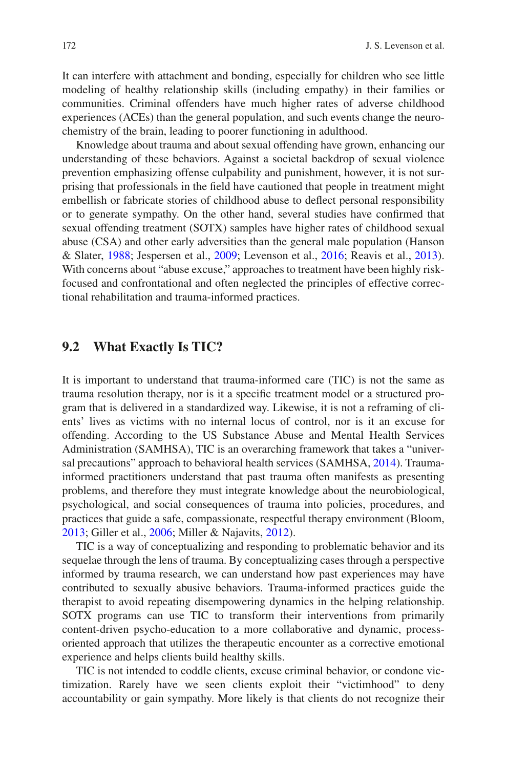It can interfere with attachment and bonding, especially for children who see little modeling of healthy relationship skills (including empathy) in their families or communities. Criminal offenders have much higher rates of adverse childhood experiences (ACEs) than the general population, and such events change the neurochemistry of the brain, leading to poorer functioning in adulthood.

Knowledge about trauma and about sexual offending have grown, enhancing our understanding of these behaviors. Against a societal backdrop of sexual violence prevention emphasizing offense culpability and punishment, however, it is not surprising that professionals in the field have cautioned that people in treatment might embellish or fabricate stories of childhood abuse to deflect personal responsibility or to generate sympathy. On the other hand, several studies have confirmed that sexual offending treatment (SOTX) samples have higher rates of childhood sexual abuse (CSA) and other early adversities than the general male population (Hanson & Slater, [1988](#page-15-2); Jespersen et al., [2009;](#page-15-3) Levenson et al., [2016](#page-15-1); Reavis et al., [2013\)](#page-16-0). With concerns about "abuse excuse," approaches to treatment have been highly riskfocused and confrontational and often neglected the principles of effective correctional rehabilitation and trauma-informed practices.

#### **9.2 What Exactly Is TIC?**

It is important to understand that trauma-informed care (TIC) is not the same as trauma resolution therapy, nor is it a specific treatment model or a structured program that is delivered in a standardized way. Likewise, it is not a reframing of clients' lives as victims with no internal locus of control, nor is it an excuse for offending. According to the US Substance Abuse and Mental Health Services Administration (SAMHSA), TIC is an overarching framework that takes a "universal precautions" approach to behavioral health services (SAMHSA, [2014\)](#page-17-2). Traumainformed practitioners understand that past trauma often manifests as presenting problems, and therefore they must integrate knowledge about the neurobiological, psychological, and social consequences of trauma into policies, procedures, and practices that guide a safe, compassionate, respectful therapy environment (Bloom, [2013;](#page-14-1) Giller et al., [2006](#page-14-2); Miller & Najavits, [2012\)](#page-16-1).

TIC is a way of conceptualizing and responding to problematic behavior and its sequelae through the lens of trauma. By conceptualizing cases through a perspective informed by trauma research, we can understand how past experiences may have contributed to sexually abusive behaviors. Trauma-informed practices guide the therapist to avoid repeating disempowering dynamics in the helping relationship. SOTX programs can use TIC to transform their interventions from primarily content-driven psycho-education to a more collaborative and dynamic, processoriented approach that utilizes the therapeutic encounter as a corrective emotional experience and helps clients build healthy skills.

TIC is not intended to coddle clients, excuse criminal behavior, or condone victimization. Rarely have we seen clients exploit their "victimhood" to deny accountability or gain sympathy. More likely is that clients do not recognize their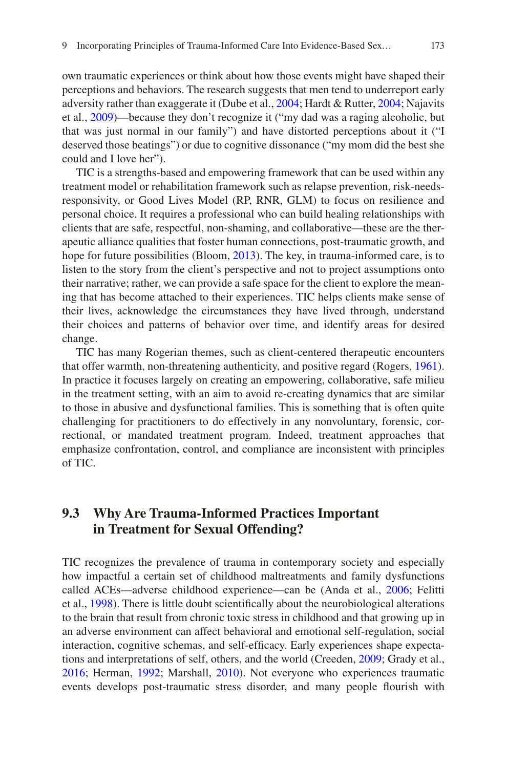own traumatic experiences or think about how those events might have shaped their perceptions and behaviors. The research suggests that men tend to underreport early adversity rather than exaggerate it (Dube et al., [2004;](#page-14-3) Hardt & Rutter, [2004;](#page-15-4) Najavits et al., [2009](#page-16-2))—because they don't recognize it ("my dad was a raging alcoholic, but that was just normal in our family") and have distorted perceptions about it ("I deserved those beatings") or due to cognitive dissonance ("my mom did the best she could and I love her").

TIC is a strengths-based and empowering framework that can be used within any treatment model or rehabilitation framework such as relapse prevention, risk-needsresponsivity, or Good Lives Model (RP, RNR, GLM) to focus on resilience and personal choice. It requires a professional who can build healing relationships with clients that are safe, respectful, non-shaming, and collaborative—these are the therapeutic alliance qualities that foster human connections, post-traumatic growth, and hope for future possibilities (Bloom, [2013\)](#page-14-1). The key, in trauma-informed care, is to listen to the story from the client's perspective and not to project assumptions onto their narrative; rather, we can provide a safe space for the client to explore the meaning that has become attached to their experiences. TIC helps clients make sense of their lives, acknowledge the circumstances they have lived through, understand their choices and patterns of behavior over time, and identify areas for desired change.

TIC has many Rogerian themes, such as client-centered therapeutic encounters that offer warmth, non-threatening authenticity, and positive regard (Rogers, [1961\)](#page-17-3). In practice it focuses largely on creating an empowering, collaborative, safe milieu in the treatment setting, with an aim to avoid re-creating dynamics that are similar to those in abusive and dysfunctional families. This is something that is often quite challenging for practitioners to do effectively in any nonvoluntary, forensic, correctional, or mandated treatment program. Indeed, treatment approaches that emphasize confrontation, control, and compliance are inconsistent with principles of TIC.

# **9.3 Why Are Trauma-Informed Practices Important in Treatment for Sexual Offending?**

TIC recognizes the prevalence of trauma in contemporary society and especially how impactful a certain set of childhood maltreatments and family dysfunctions called ACEs—adverse childhood experience—can be (Anda et al., [2006;](#page-13-0) Felitti et al., [1998\)](#page-14-4). There is little doubt scientifically about the neurobiological alterations to the brain that result from chronic toxic stress in childhood and that growing up in an adverse environment can affect behavioral and emotional self-regulation, social interaction, cognitive schemas, and self-efficacy. Early experiences shape expectations and interpretations of self, others, and the world (Creeden, [2009](#page-14-5); Grady et al., [2016;](#page-14-6) Herman, [1992;](#page-15-5) Marshall, [2010](#page-16-3)). Not everyone who experiences traumatic events develops post-traumatic stress disorder, and many people flourish with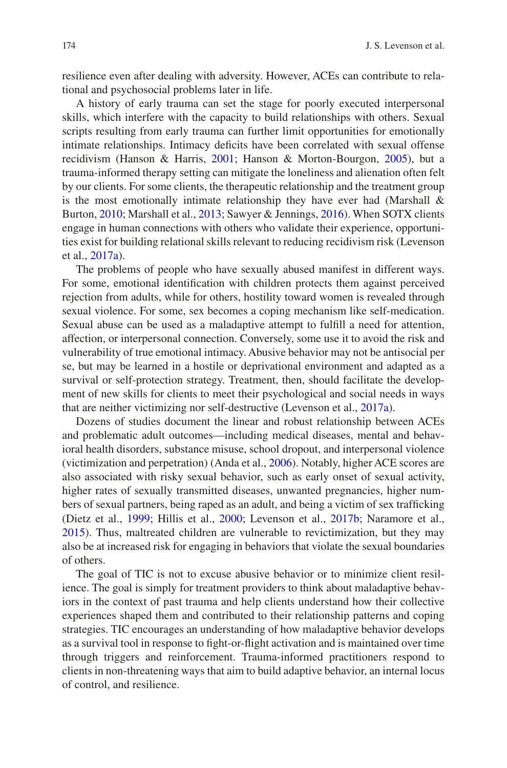resilience even after dealing with adversity. However, ACEs can contribute to relational and psychosocial problems later in life.

A history of early trauma can set the stage for poorly executed interpersonal skills, which interfere with the capacity to build relationships with others. Sexual scripts resulting from early trauma can further limit opportunities for emotionally intimate relationships. Intimacy deficits have been correlated with sexual offense recidivism (Hanson & Harris, [2001](#page-14-7); Hanson & Morton-Bourgon, [2005](#page-14-8)), but a trauma-informed therapy setting can mitigate the loneliness and alienation often felt by our clients. For some clients, the therapeutic relationship and the treatment group is the most emotionally intimate relationship they have ever had (Marshall  $\&$ Burton, [2010](#page-16-4); Marshall et al., [2013](#page-16-5); Sawyer & Jennings, [2016](#page-17-4)). When SOTX clients engage in human connections with others who validate their experience, opportunities exist for building relational skills relevant to reducing recidivism risk (Levenson et al., [2017a\)](#page-16-6).

The problems of people who have sexually abused manifest in different ways. For some, emotional identification with children protects them against perceived rejection from adults, while for others, hostility toward women is revealed through sexual violence. For some, sex becomes a coping mechanism like self-medication. Sexual abuse can be used as a maladaptive attempt to fulfill a need for attention, affection, or interpersonal connection. Conversely, some use it to avoid the risk and vulnerability of true emotional intimacy. Abusive behavior may not be antisocial per se, but may be learned in a hostile or deprivational environment and adapted as a survival or self-protection strategy. Treatment, then, should facilitate the development of new skills for clients to meet their psychological and social needs in ways that are neither victimizing nor self-destructive (Levenson et al., [2017a](#page-16-6)).

Dozens of studies document the linear and robust relationship between ACEs and problematic adult outcomes—including medical diseases, mental and behavioral health disorders, substance misuse, school dropout, and interpersonal violence (victimization and perpetration) (Anda et al., [2006](#page-13-0)). Notably, higher ACE scores are also associated with risky sexual behavior, such as early onset of sexual activity, higher rates of sexually transmitted diseases, unwanted pregnancies, higher numbers of sexual partners, being raped as an adult, and being a victim of sex trafficking (Dietz et al., [1999](#page-14-9); Hillis et al., [2000](#page-15-6); Levenson et al., [2017b;](#page-15-7) Naramore et al., [2015\)](#page-16-7). Thus, maltreated children are vulnerable to revictimization, but they may also be at increased risk for engaging in behaviors that violate the sexual boundaries of others.

The goal of TIC is not to excuse abusive behavior or to minimize client resilience. The goal is simply for treatment providers to think about maladaptive behaviors in the context of past trauma and help clients understand how their collective experiences shaped them and contributed to their relationship patterns and coping strategies. TIC encourages an understanding of how maladaptive behavior develops as a survival tool in response to fight-or-flight activation and is maintained over time through triggers and reinforcement. Trauma-informed practitioners respond to clients in non-threatening ways that aim to build adaptive behavior, an internal locus of control, and resilience.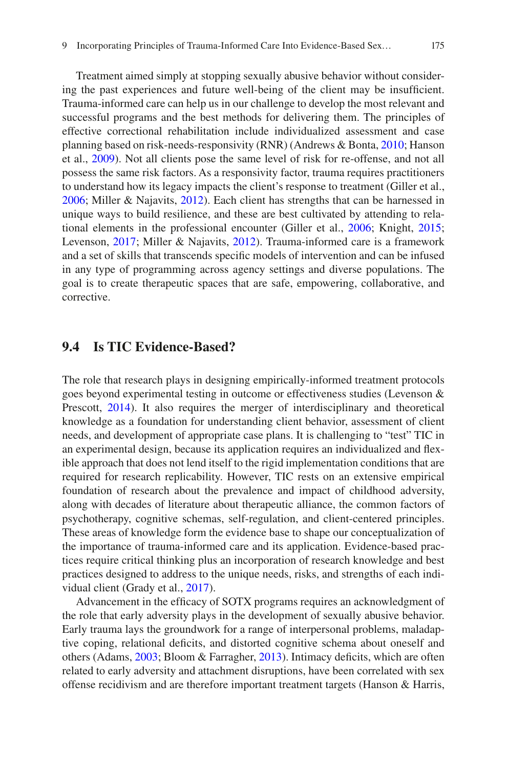Treatment aimed simply at stopping sexually abusive behavior without considering the past experiences and future well-being of the client may be insufficient. Trauma-informed care can help us in our challenge to develop the most relevant and successful programs and the best methods for delivering them. The principles of effective correctional rehabilitation include individualized assessment and case planning based on risk-needs-responsivity (RNR) (Andrews & Bonta, [2010](#page-13-1); Hanson et al., [2009\)](#page-14-0). Not all clients pose the same level of risk for re-offense, and not all possess the same risk factors. As a responsivity factor, trauma requires practitioners to understand how its legacy impacts the client's response to treatment (Giller et al., [2006;](#page-14-2) Miller & Najavits, [2012\)](#page-16-1). Each client has strengths that can be harnessed in unique ways to build resilience, and these are best cultivated by attending to relational elements in the professional encounter (Giller et al., [2006;](#page-14-2) Knight, [2015;](#page-15-8) Levenson, [2017](#page-15-9); Miller & Najavits, [2012\)](#page-16-1). Trauma-informed care is a framework and a set of skills that transcends specific models of intervention and can be infused in any type of programming across agency settings and diverse populations. The goal is to create therapeutic spaces that are safe, empowering, collaborative, and corrective.

#### **9.4 Is TIC Evidence-Based?**

The role that research plays in designing empirically-informed treatment protocols goes beyond experimental testing in outcome or effectiveness studies (Levenson & Prescott, [2014](#page-15-10)). It also requires the merger of interdisciplinary and theoretical knowledge as a foundation for understanding client behavior, assessment of client needs, and development of appropriate case plans. It is challenging to "test" TIC in an experimental design, because its application requires an individualized and flexible approach that does not lend itself to the rigid implementation conditions that are required for research replicability. However, TIC rests on an extensive empirical foundation of research about the prevalence and impact of childhood adversity, along with decades of literature about therapeutic alliance, the common factors of psychotherapy, cognitive schemas, self-regulation, and client-centered principles. These areas of knowledge form the evidence base to shape our conceptualization of the importance of trauma-informed care and its application. Evidence-based practices require critical thinking plus an incorporation of research knowledge and best practices designed to address to the unique needs, risks, and strengths of each individual client (Grady et al., [2017](#page-14-10)).

Advancement in the efficacy of SOTX programs requires an acknowledgment of the role that early adversity plays in the development of sexually abusive behavior. Early trauma lays the groundwork for a range of interpersonal problems, maladaptive coping, relational deficits, and distorted cognitive schema about oneself and others (Adams, [2003;](#page-13-2) Bloom & Farragher, [2013](#page-14-11)). Intimacy deficits, which are often related to early adversity and attachment disruptions, have been correlated with sex offense recidivism and are therefore important treatment targets (Hanson & Harris,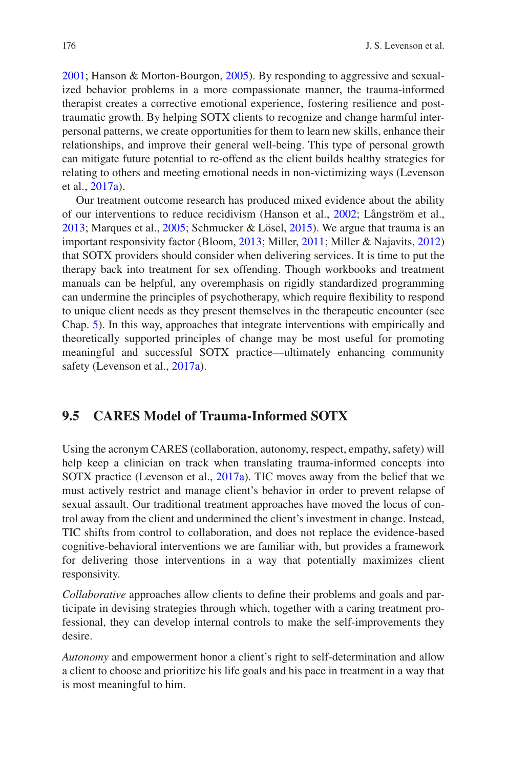[2001;](#page-14-7) Hanson & Morton-Bourgon, [2005\)](#page-14-8). By responding to aggressive and sexualized behavior problems in a more compassionate manner, the trauma-informed therapist creates a corrective emotional experience, fostering resilience and posttraumatic growth. By helping SOTX clients to recognize and change harmful interpersonal patterns, we create opportunities for them to learn new skills, enhance their relationships, and improve their general well-being. This type of personal growth can mitigate future potential to re-offend as the client builds healthy strategies for relating to others and meeting emotional needs in non-victimizing ways (Levenson et al., [2017a\)](#page-16-6).

Our treatment outcome research has produced mixed evidence about the ability of our interventions to reduce recidivism (Hanson et al., [2002](#page-14-12); Långström et al., [2013;](#page-15-11) Marques et al., [2005;](#page-16-8) Schmucker & Lösel, [2015](#page-17-0)). We argue that trauma is an important responsivity factor (Bloom, [2013](#page-14-1); Miller, [2011;](#page-16-9) Miller & Najavits, [2012](#page-16-1)) that SOTX providers should consider when delivering services. It is time to put the therapy back into treatment for sex offending. Though workbooks and treatment manuals can be helpful, any overemphasis on rigidly standardized programming can undermine the principles of psychotherapy, which require flexibility to respond to unique client needs as they present themselves in the therapeutic encounter (see Chap. [5](https://doi.org/10.1007/978-3-030-01030-0_5)). In this way, approaches that integrate interventions with empirically and theoretically supported principles of change may be most useful for promoting meaningful and successful SOTX practice—ultimately enhancing community safety (Levenson et al., [2017a](#page-16-6)).

# **9.5 CARES Model of Trauma-Informed SOTX**

Using the acronym CARES (collaboration, autonomy, respect, empathy, safety) will help keep a clinician on track when translating trauma-informed concepts into SOTX practice (Levenson et al., [2017a\)](#page-16-6). TIC moves away from the belief that we must actively restrict and manage client's behavior in order to prevent relapse of sexual assault. Our traditional treatment approaches have moved the locus of control away from the client and undermined the client's investment in change. Instead, TIC shifts from control to collaboration, and does not replace the evidence-based cognitive-behavioral interventions we are familiar with, but provides a framework for delivering those interventions in a way that potentially maximizes client responsivity.

*Collaborative* approaches allow clients to define their problems and goals and participate in devising strategies through which, together with a caring treatment professional, they can develop internal controls to make the self-improvements they desire.

*Autonomy* and empowerment honor a client's right to self-determination and allow a client to choose and prioritize his life goals and his pace in treatment in a way that is most meaningful to him.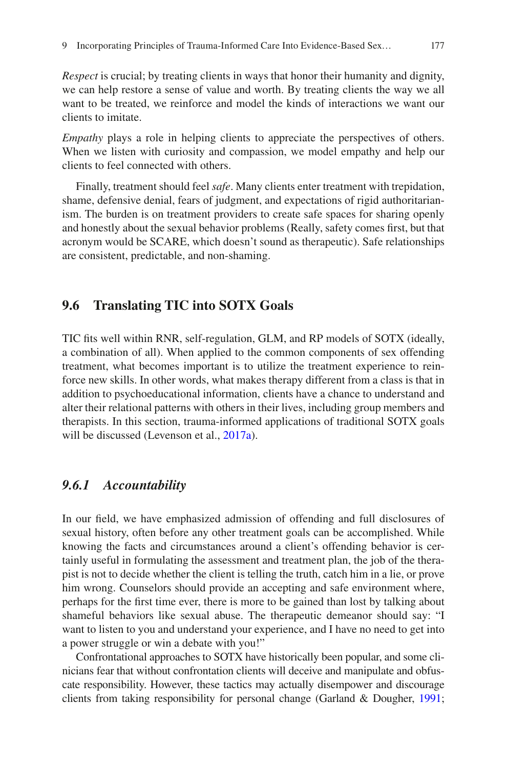*Respect* is crucial; by treating clients in ways that honor their humanity and dignity, we can help restore a sense of value and worth. By treating clients the way we all want to be treated, we reinforce and model the kinds of interactions we want our clients to imitate.

*Empathy* plays a role in helping clients to appreciate the perspectives of others. When we listen with curiosity and compassion, we model empathy and help our clients to feel connected with others.

Finally, treatment should feel *safe*. Many clients enter treatment with trepidation, shame, defensive denial, fears of judgment, and expectations of rigid authoritarianism. The burden is on treatment providers to create safe spaces for sharing openly and honestly about the sexual behavior problems (Really, safety comes first, but that acronym would be SCARE, which doesn't sound as therapeutic). Safe relationships are consistent, predictable, and non-shaming.

### **9.6 Translating TIC into SOTX Goals**

TIC fits well within RNR, self-regulation, GLM, and RP models of SOTX (ideally, a combination of all). When applied to the common components of sex offending treatment, what becomes important is to utilize the treatment experience to reinforce new skills. In other words, what makes therapy different from a class is that in addition to psychoeducational information, clients have a chance to understand and alter their relational patterns with others in their lives, including group members and therapists. In this section, trauma-informed applications of traditional SOTX goals will be discussed (Levenson et al., [2017a\)](#page-16-6).

#### *9.6.1 Accountability*

In our field, we have emphasized admission of offending and full disclosures of sexual history, often before any other treatment goals can be accomplished. While knowing the facts and circumstances around a client's offending behavior is certainly useful in formulating the assessment and treatment plan, the job of the therapist is not to decide whether the client is telling the truth, catch him in a lie, or prove him wrong. Counselors should provide an accepting and safe environment where, perhaps for the first time ever, there is more to be gained than lost by talking about shameful behaviors like sexual abuse. The therapeutic demeanor should say: "I want to listen to you and understand your experience, and I have no need to get into a power struggle or win a debate with you!"

Confrontational approaches to SOTX have historically been popular, and some clinicians fear that without confrontation clients will deceive and manipulate and obfuscate responsibility. However, these tactics may actually disempower and discourage clients from taking responsibility for personal change (Garland & Dougher, [1991;](#page-14-13)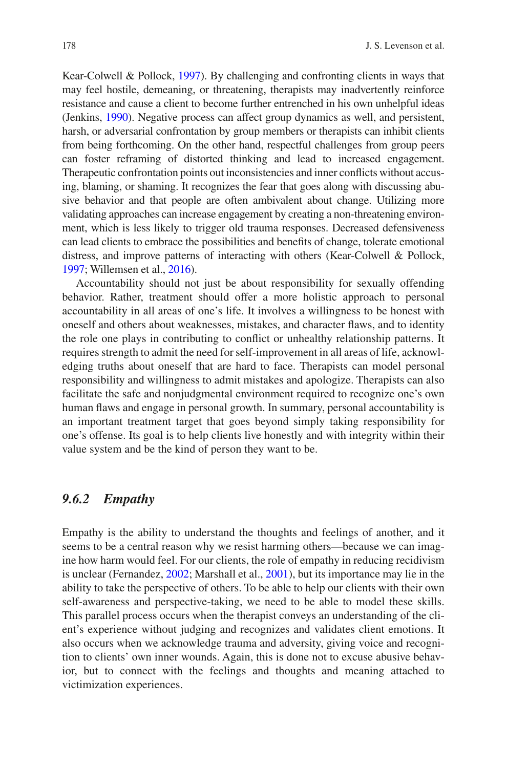Kear-Colwell & Pollock, [1997\)](#page-15-12). By challenging and confronting clients in ways that may feel hostile, demeaning, or threatening, therapists may inadvertently reinforce resistance and cause a client to become further entrenched in his own unhelpful ideas (Jenkins, [1990](#page-15-13)). Negative process can affect group dynamics as well, and persistent, harsh, or adversarial confrontation by group members or therapists can inhibit clients from being forthcoming. On the other hand, respectful challenges from group peers can foster reframing of distorted thinking and lead to increased engagement. Therapeutic confrontation points out inconsistencies and inner conflicts without accusing, blaming, or shaming. It recognizes the fear that goes along with discussing abusive behavior and that people are often ambivalent about change. Utilizing more validating approaches can increase engagement by creating a non-threatening environment, which is less likely to trigger old trauma responses. Decreased defensiveness can lead clients to embrace the possibilities and benefits of change, tolerate emotional distress, and improve patterns of interacting with others (Kear-Colwell & Pollock, [1997](#page-15-12); Willemsen et al., [2016](#page-17-5)).

Accountability should not just be about responsibility for sexually offending behavior. Rather, treatment should offer a more holistic approach to personal accountability in all areas of one's life. It involves a willingness to be honest with oneself and others about weaknesses, mistakes, and character flaws, and to identity the role one plays in contributing to conflict or unhealthy relationship patterns. It requires strength to admit the need for self-improvement in all areas of life, acknowledging truths about oneself that are hard to face. Therapists can model personal responsibility and willingness to admit mistakes and apologize. Therapists can also facilitate the safe and nonjudgmental environment required to recognize one's own human flaws and engage in personal growth. In summary, personal accountability is an important treatment target that goes beyond simply taking responsibility for one's offense. Its goal is to help clients live honestly and with integrity within their value system and be the kind of person they want to be.

#### *9.6.2 Empathy*

Empathy is the ability to understand the thoughts and feelings of another, and it seems to be a central reason why we resist harming others—because we can imagine how harm would feel. For our clients, the role of empathy in reducing recidivism is unclear (Fernandez, [2002;](#page-14-14) Marshall et al., [2001](#page-16-10)), but its importance may lie in the ability to take the perspective of others. To be able to help our clients with their own self-awareness and perspective-taking, we need to be able to model these skills. This parallel process occurs when the therapist conveys an understanding of the client's experience without judging and recognizes and validates client emotions. It also occurs when we acknowledge trauma and adversity, giving voice and recognition to clients' own inner wounds. Again, this is done not to excuse abusive behavior, but to connect with the feelings and thoughts and meaning attached to victimization experiences.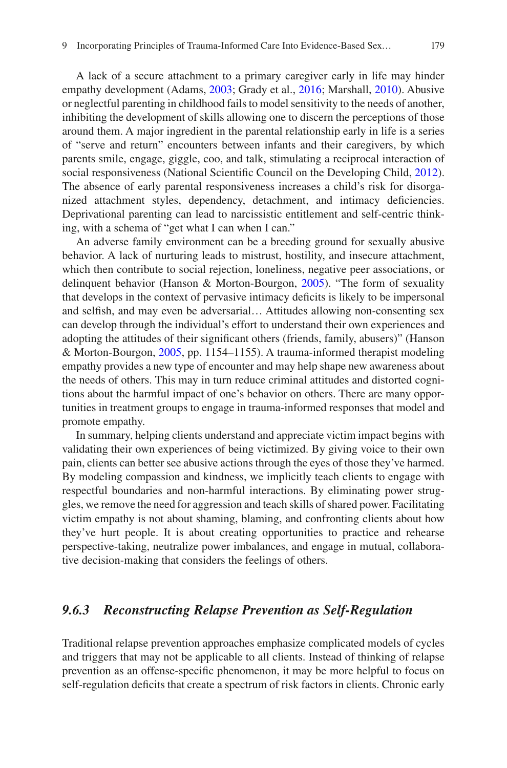A lack of a secure attachment to a primary caregiver early in life may hinder empathy development (Adams, [2003](#page-13-2); Grady et al., [2016;](#page-14-6) Marshall, [2010\)](#page-16-3). Abusive or neglectful parenting in childhood fails to model sensitivity to the needs of another, inhibiting the development of skills allowing one to discern the perceptions of those around them. A major ingredient in the parental relationship early in life is a series of "serve and return" encounters between infants and their caregivers, by which parents smile, engage, giggle, coo, and talk, stimulating a reciprocal interaction of social responsiveness (National Scientific Council on the Developing Child, [2012\)](#page-16-11). The absence of early parental responsiveness increases a child's risk for disorganized attachment styles, dependency, detachment, and intimacy deficiencies. Deprivational parenting can lead to narcissistic entitlement and self-centric thinking, with a schema of "get what I can when I can."

An adverse family environment can be a breeding ground for sexually abusive behavior. A lack of nurturing leads to mistrust, hostility, and insecure attachment, which then contribute to social rejection, loneliness, negative peer associations, or delinquent behavior (Hanson & Morton-Bourgon, [2005](#page-14-8)). "The form of sexuality that develops in the context of pervasive intimacy deficits is likely to be impersonal and selfish, and may even be adversarial… Attitudes allowing non-consenting sex can develop through the individual's effort to understand their own experiences and adopting the attitudes of their significant others (friends, family, abusers)" (Hanson & Morton-Bourgon, [2005](#page-14-8), pp. 1154–1155). A trauma-informed therapist modeling empathy provides a new type of encounter and may help shape new awareness about the needs of others. This may in turn reduce criminal attitudes and distorted cognitions about the harmful impact of one's behavior on others. There are many opportunities in treatment groups to engage in trauma-informed responses that model and promote empathy.

In summary, helping clients understand and appreciate victim impact begins with validating their own experiences of being victimized. By giving voice to their own pain, clients can better see abusive actions through the eyes of those they've harmed. By modeling compassion and kindness, we implicitly teach clients to engage with respectful boundaries and non-harmful interactions. By eliminating power struggles, we remove the need for aggression and teach skills of shared power. Facilitating victim empathy is not about shaming, blaming, and confronting clients about how they've hurt people. It is about creating opportunities to practice and rehearse perspective-taking, neutralize power imbalances, and engage in mutual, collaborative decision-making that considers the feelings of others.

# *9.6.3 Reconstructing Relapse Prevention as Self-Regulation*

Traditional relapse prevention approaches emphasize complicated models of cycles and triggers that may not be applicable to all clients. Instead of thinking of relapse prevention as an offense-specific phenomenon, it may be more helpful to focus on self-regulation deficits that create a spectrum of risk factors in clients. Chronic early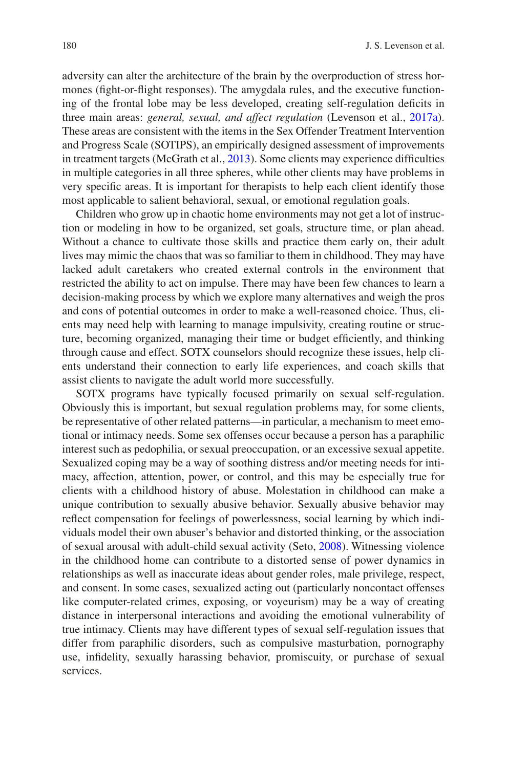adversity can alter the architecture of the brain by the overproduction of stress hormones (fight-or-flight responses). The amygdala rules, and the executive functioning of the frontal lobe may be less developed, creating self-regulation deficits in three main areas: *general, sexual, and affect regulation* (Levenson et al., [2017a\)](#page-16-6). These areas are consistent with the items in the Sex Offender Treatment Intervention and Progress Scale (SOTIPS), an empirically designed assessment of improvements in treatment targets (McGrath et al., [2013](#page-16-12)). Some clients may experience difficulties in multiple categories in all three spheres, while other clients may have problems in very specific areas. It is important for therapists to help each client identify those most applicable to salient behavioral, sexual, or emotional regulation goals.

Children who grow up in chaotic home environments may not get a lot of instruction or modeling in how to be organized, set goals, structure time, or plan ahead. Without a chance to cultivate those skills and practice them early on, their adult lives may mimic the chaos that was so familiar to them in childhood. They may have lacked adult caretakers who created external controls in the environment that restricted the ability to act on impulse. There may have been few chances to learn a decision-making process by which we explore many alternatives and weigh the pros and cons of potential outcomes in order to make a well-reasoned choice. Thus, clients may need help with learning to manage impulsivity, creating routine or structure, becoming organized, managing their time or budget efficiently, and thinking through cause and effect. SOTX counselors should recognize these issues, help clients understand their connection to early life experiences, and coach skills that assist clients to navigate the adult world more successfully.

SOTX programs have typically focused primarily on sexual self-regulation. Obviously this is important, but sexual regulation problems may, for some clients, be representative of other related patterns—in particular, a mechanism to meet emotional or intimacy needs. Some sex offenses occur because a person has a paraphilic interest such as pedophilia, or sexual preoccupation, or an excessive sexual appetite. Sexualized coping may be a way of soothing distress and/or meeting needs for intimacy, affection, attention, power, or control, and this may be especially true for clients with a childhood history of abuse. Molestation in childhood can make a unique contribution to sexually abusive behavior. Sexually abusive behavior may reflect compensation for feelings of powerlessness, social learning by which individuals model their own abuser's behavior and distorted thinking, or the association of sexual arousal with adult-child sexual activity (Seto, [2008](#page-17-6)). Witnessing violence in the childhood home can contribute to a distorted sense of power dynamics in relationships as well as inaccurate ideas about gender roles, male privilege, respect, and consent. In some cases, sexualized acting out (particularly noncontact offenses like computer-related crimes, exposing, or voyeurism) may be a way of creating distance in interpersonal interactions and avoiding the emotional vulnerability of true intimacy. Clients may have different types of sexual self-regulation issues that differ from paraphilic disorders, such as compulsive masturbation, pornography use, infidelity, sexually harassing behavior, promiscuity, or purchase of sexual services.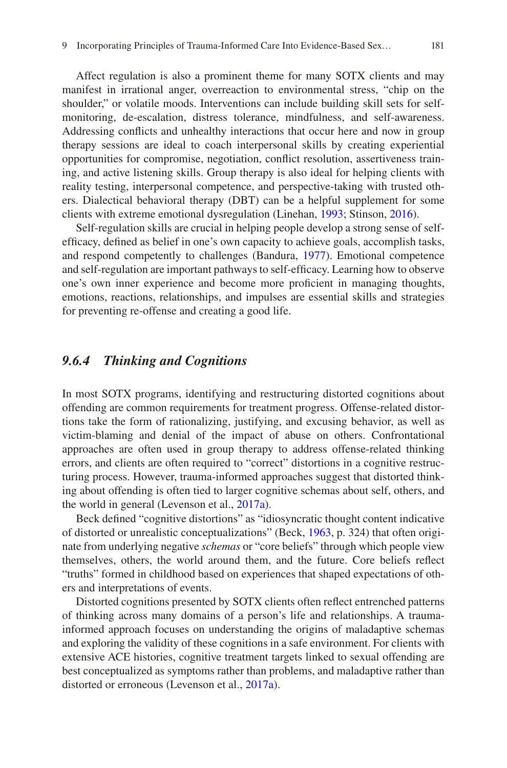Affect regulation is also a prominent theme for many SOTX clients and may manifest in irrational anger, overreaction to environmental stress, "chip on the shoulder," or volatile moods. Interventions can include building skill sets for selfmonitoring, de-escalation, distress tolerance, mindfulness, and self-awareness. Addressing conflicts and unhealthy interactions that occur here and now in group therapy sessions are ideal to coach interpersonal skills by creating experiential opportunities for compromise, negotiation, conflict resolution, assertiveness training, and active listening skills. Group therapy is also ideal for helping clients with reality testing, interpersonal competence, and perspective-taking with trusted others. Dialectical behavioral therapy (DBT) can be a helpful supplement for some clients with extreme emotional dysregulation (Linehan, [1993;](#page-16-13) Stinson, [2016\)](#page-17-7).

Self-regulation skills are crucial in helping people develop a strong sense of selfefficacy, defined as belief in one's own capacity to achieve goals, accomplish tasks, and respond competently to challenges (Bandura, [1977](#page-13-3)). Emotional competence and self-regulation are important pathways to self-efficacy. Learning how to observe one's own inner experience and become more proficient in managing thoughts, emotions, reactions, relationships, and impulses are essential skills and strategies for preventing re-offense and creating a good life.

#### *9.6.4 Thinking and Cognitions*

In most SOTX programs, identifying and restructuring distorted cognitions about offending are common requirements for treatment progress. Offense-related distortions take the form of rationalizing, justifying, and excusing behavior, as well as victim-blaming and denial of the impact of abuse on others. Confrontational approaches are often used in group therapy to address offense-related thinking errors, and clients are often required to "correct" distortions in a cognitive restructuring process. However, trauma-informed approaches suggest that distorted thinking about offending is often tied to larger cognitive schemas about self, others, and the world in general (Levenson et al., [2017a\)](#page-16-6).

Beck defined "cognitive distortions" as "idiosyncratic thought content indicative of distorted or unrealistic conceptualizations" (Beck, [1963](#page-13-4), p. 324) that often originate from underlying negative *schemas* or "core beliefs" through which people view themselves, others, the world around them, and the future. Core beliefs reflect "truths" formed in childhood based on experiences that shaped expectations of others and interpretations of events.

Distorted cognitions presented by SOTX clients often reflect entrenched patterns of thinking across many domains of a person's life and relationships. A traumainformed approach focuses on understanding the origins of maladaptive schemas and exploring the validity of these cognitions in a safe environment. For clients with extensive ACE histories, cognitive treatment targets linked to sexual offending are best conceptualized as symptoms rather than problems, and maladaptive rather than distorted or erroneous (Levenson et al., [2017a](#page-16-6)).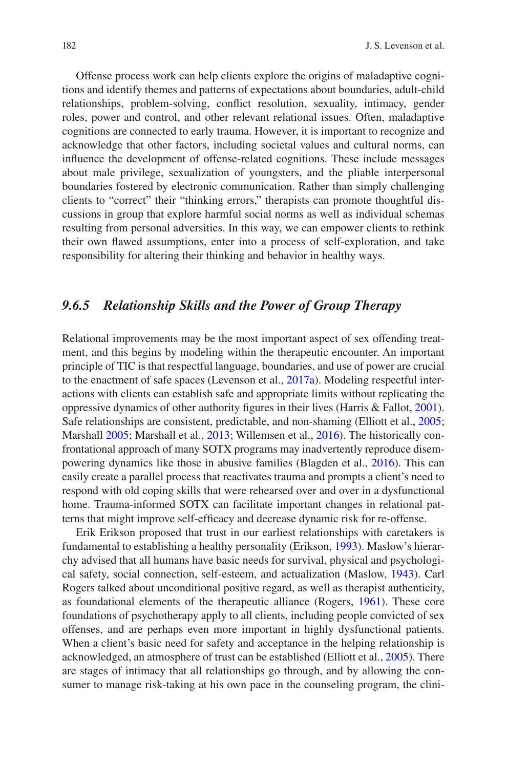Offense process work can help clients explore the origins of maladaptive cognitions and identify themes and patterns of expectations about boundaries, adult-child relationships, problem-solving, conflict resolution, sexuality, intimacy, gender roles, power and control, and other relevant relational issues. Often, maladaptive cognitions are connected to early trauma. However, it is important to recognize and acknowledge that other factors, including societal values and cultural norms, can influence the development of offense-related cognitions. These include messages about male privilege, sexualization of youngsters, and the pliable interpersonal boundaries fostered by electronic communication. Rather than simply challenging clients to "correct" their "thinking errors," therapists can promote thoughtful discussions in group that explore harmful social norms as well as individual schemas resulting from personal adversities. In this way, we can empower clients to rethink their own flawed assumptions, enter into a process of self-exploration, and take responsibility for altering their thinking and behavior in healthy ways.

#### *9.6.5 Relationship Skills and the Power of Group Therapy*

Relational improvements may be the most important aspect of sex offending treatment, and this begins by modeling within the therapeutic encounter. An important principle of TIC is that respectful language, boundaries, and use of power are crucial to the enactment of safe spaces (Levenson et al., [2017a\)](#page-16-6). Modeling respectful interactions with clients can establish safe and appropriate limits without replicating the oppressive dynamics of other authority figures in their lives (Harris & Fallot, [2001\)](#page-15-14). Safe relationships are consistent, predictable, and non-shaming (Elliott et al., [2005;](#page-14-15) Marshall [2005;](#page-16-14) Marshall et al., [2013](#page-16-5); Willemsen et al., [2016](#page-17-5)). The historically confrontational approach of many SOTX programs may inadvertently reproduce disempowering dynamics like those in abusive families (Blagden et al., [2016](#page-13-5)). This can easily create a parallel process that reactivates trauma and prompts a client's need to respond with old coping skills that were rehearsed over and over in a dysfunctional home. Trauma-informed SOTX can facilitate important changes in relational patterns that might improve self-efficacy and decrease dynamic risk for re-offense.

Erik Erikson proposed that trust in our earliest relationships with caretakers is fundamental to establishing a healthy personality (Erikson, [1993](#page-14-16)). Maslow's hierarchy advised that all humans have basic needs for survival, physical and psychological safety, social connection, self-esteem, and actualization (Maslow, [1943](#page-16-15)). Carl Rogers talked about unconditional positive regard, as well as therapist authenticity, as foundational elements of the therapeutic alliance (Rogers, [1961\)](#page-17-3). These core foundations of psychotherapy apply to all clients, including people convicted of sex offenses, and are perhaps even more important in highly dysfunctional patients. When a client's basic need for safety and acceptance in the helping relationship is acknowledged, an atmosphere of trust can be established (Elliott et al., [2005](#page-14-15)). There are stages of intimacy that all relationships go through, and by allowing the consumer to manage risk-taking at his own pace in the counseling program, the clini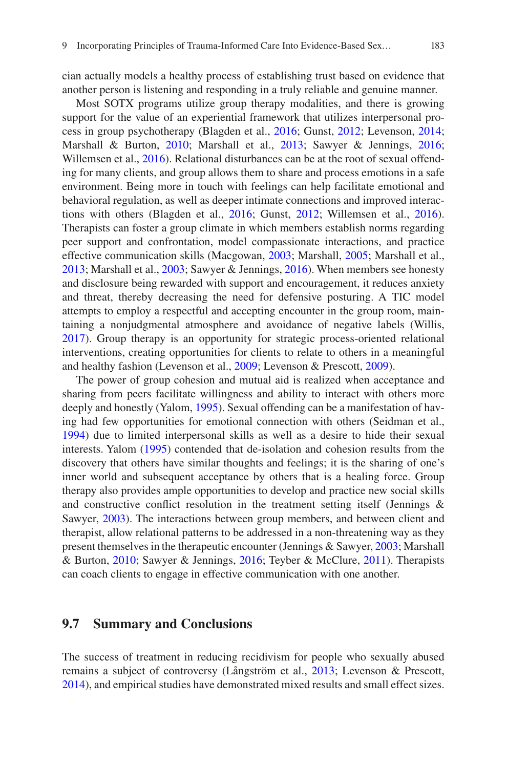cian actually models a healthy process of establishing trust based on evidence that another person is listening and responding in a truly reliable and genuine manner.

Most SOTX programs utilize group therapy modalities, and there is growing support for the value of an experiential framework that utilizes interpersonal process in group psychotherapy (Blagden et al., [2016](#page-13-5); Gunst, [2012;](#page-14-17) Levenson, [2014;](#page-15-15) Marshall & Burton, [2010;](#page-16-4) Marshall et al., [2013](#page-16-5); Sawyer & Jennings, [2016;](#page-17-4) Willemsen et al., [2016](#page-17-5)). Relational disturbances can be at the root of sexual offending for many clients, and group allows them to share and process emotions in a safe environment. Being more in touch with feelings can help facilitate emotional and behavioral regulation, as well as deeper intimate connections and improved interactions with others (Blagden et al., [2016;](#page-13-5) Gunst, [2012;](#page-14-17) Willemsen et al., [2016\)](#page-17-5). Therapists can foster a group climate in which members establish norms regarding peer support and confrontation, model compassionate interactions, and practice effective communication skills (Macgowan, [2003;](#page-16-16) Marshall, [2005](#page-16-14); Marshall et al., [2013;](#page-16-5) Marshall et al., [2003](#page-16-17); Sawyer & Jennings, [2016\)](#page-17-4). When members see honesty and disclosure being rewarded with support and encouragement, it reduces anxiety and threat, thereby decreasing the need for defensive posturing. A TIC model attempts to employ a respectful and accepting encounter in the group room, maintaining a nonjudgmental atmosphere and avoidance of negative labels (Willis, [2017\)](#page-17-8). Group therapy is an opportunity for strategic process-oriented relational interventions, creating opportunities for clients to relate to others in a meaningful and healthy fashion (Levenson et al., [2009](#page-15-16); Levenson & Prescott, [2009](#page-15-17)).

The power of group cohesion and mutual aid is realized when acceptance and sharing from peers facilitate willingness and ability to interact with others more deeply and honestly (Yalom, [1995](#page-17-9)). Sexual offending can be a manifestation of having had few opportunities for emotional connection with others (Seidman et al., [1994\)](#page-17-10) due to limited interpersonal skills as well as a desire to hide their sexual interests. Yalom ([1995\)](#page-17-9) contended that de-isolation and cohesion results from the discovery that others have similar thoughts and feelings; it is the sharing of one's inner world and subsequent acceptance by others that is a healing force. Group therapy also provides ample opportunities to develop and practice new social skills and constructive conflict resolution in the treatment setting itself (Jennings  $\&$ Sawyer, [2003\)](#page-15-18). The interactions between group members, and between client and therapist, allow relational patterns to be addressed in a non-threatening way as they present themselves in the therapeutic encounter (Jennings & Sawyer, [2003](#page-15-18); Marshall & Burton, [2010;](#page-16-4) Sawyer & Jennings, [2016;](#page-17-4) Teyber & McClure, [2011](#page-17-11)). Therapists can coach clients to engage in effective communication with one another.

#### **9.7 Summary and Conclusions**

The success of treatment in reducing recidivism for people who sexually abused remains a subject of controversy (Långström et al., [2013](#page-15-11); Levenson & Prescott, [2014\)](#page-15-10), and empirical studies have demonstrated mixed results and small effect sizes.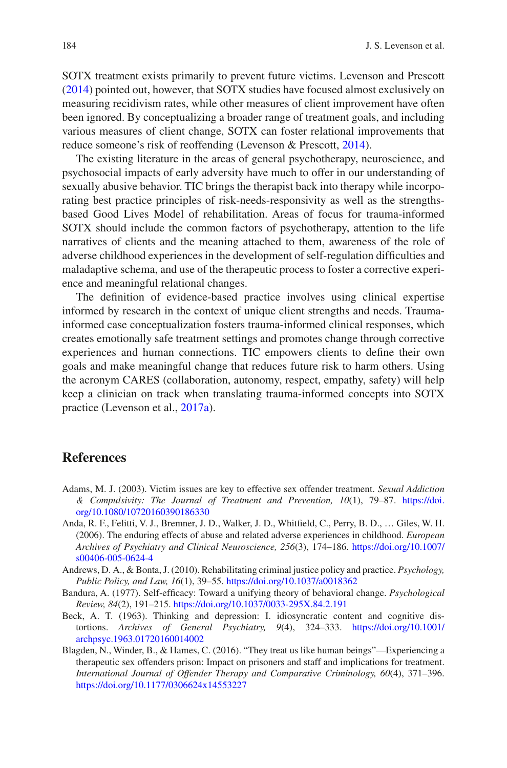SOTX treatment exists primarily to prevent future victims. Levenson and Prescott [\(2014](#page-15-10)) pointed out, however, that SOTX studies have focused almost exclusively on measuring recidivism rates, while other measures of client improvement have often been ignored. By conceptualizing a broader range of treatment goals, and including various measures of client change, SOTX can foster relational improvements that reduce someone's risk of reoffending (Levenson & Prescott, [2014\)](#page-15-10).

The existing literature in the areas of general psychotherapy, neuroscience, and psychosocial impacts of early adversity have much to offer in our understanding of sexually abusive behavior. TIC brings the therapist back into therapy while incorporating best practice principles of risk-needs-responsivity as well as the strengthsbased Good Lives Model of rehabilitation. Areas of focus for trauma-informed SOTX should include the common factors of psychotherapy, attention to the life narratives of clients and the meaning attached to them, awareness of the role of adverse childhood experiences in the development of self-regulation difficulties and maladaptive schema, and use of the therapeutic process to foster a corrective experience and meaningful relational changes.

The definition of evidence-based practice involves using clinical expertise informed by research in the context of unique client strengths and needs. Traumainformed case conceptualization fosters trauma-informed clinical responses, which creates emotionally safe treatment settings and promotes change through corrective experiences and human connections. TIC empowers clients to define their own goals and make meaningful change that reduces future risk to harm others. Using the acronym CARES (collaboration, autonomy, respect, empathy, safety) will help keep a clinician on track when translating trauma-informed concepts into SOTX practice (Levenson et al., [2017a](#page-16-6)).

#### **References**

- <span id="page-13-2"></span>Adams, M. J. (2003). Victim issues are key to effective sex offender treatment. *Sexual Addiction & Compulsivity: The Journal of Treatment and Prevention, 10*(1), 79–87. [https://doi.](https://doi.org/10.1080/10720160390186330) [org/10.1080/10720160390186330](https://doi.org/10.1080/10720160390186330)
- <span id="page-13-0"></span>Anda, R. F., Felitti, V. J., Bremner, J. D., Walker, J. D., Whitfield, C., Perry, B. D., … Giles, W. H. (2006). The enduring effects of abuse and related adverse experiences in childhood. *European Archives of Psychiatry and Clinical Neuroscience, 256*(3), 174–186. [https://doi.org/10.1007/](https://doi.org/10.1007/s00406-005-0624-4) [s00406-005-0624-4](https://doi.org/10.1007/s00406-005-0624-4)
- <span id="page-13-1"></span>Andrews, D. A., & Bonta, J. (2010). Rehabilitating criminal justice policy and practice. *Psychology, Public Policy, and Law, 16*(1), 39–55.<https://doi.org/10.1037/a0018362>
- <span id="page-13-3"></span>Bandura, A. (1977). Self-efficacy: Toward a unifying theory of behavioral change. *Psychological Review, 84*(2), 191–215.<https://doi.org/10.1037/0033-295X.84.2.191>
- <span id="page-13-4"></span>Beck, A. T. (1963). Thinking and depression: I. idiosyncratic content and cognitive distortions. *Archives of General Psychiatry, 9*(4), 324–333. [https://doi.org/10.1001/](https://doi.org/10.1001/archpsyc.1963.01720160014002) [archpsyc.1963.01720160014002](https://doi.org/10.1001/archpsyc.1963.01720160014002)
- <span id="page-13-5"></span>Blagden, N., Winder, B., & Hames, C. (2016). "They treat us like human beings"—Experiencing a therapeutic sex offenders prison: Impact on prisoners and staff and implications for treatment. *International Journal of Offender Therapy and Comparative Criminology, 60*(4), 371–396. <https://doi.org/10.1177/0306624x14553227>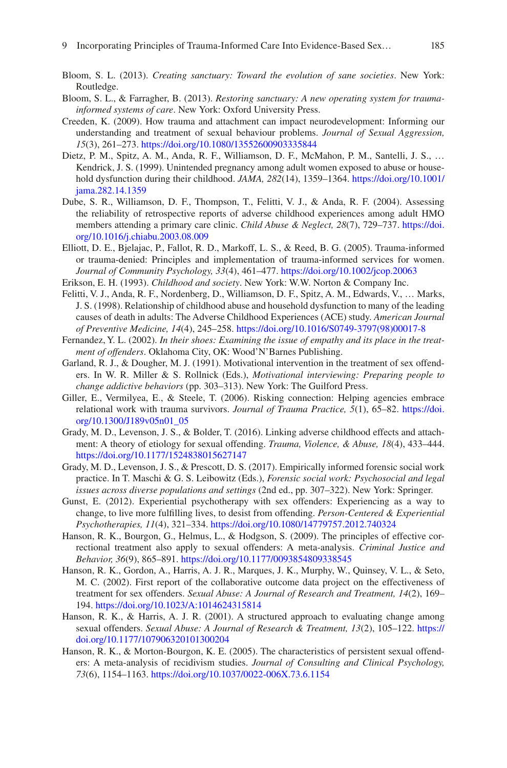- <span id="page-14-1"></span>Bloom, S. L. (2013). *Creating sanctuary: Toward the evolution of sane societies*. New York: Routledge.
- <span id="page-14-11"></span>Bloom, S. L., & Farragher, B. (2013). *Restoring sanctuary: A new operating system for traumainformed systems of care*. New York: Oxford University Press.
- <span id="page-14-5"></span>Creeden, K. (2009). How trauma and attachment can impact neurodevelopment: Informing our understanding and treatment of sexual behaviour problems. *Journal of Sexual Aggression, 15*(3), 261–273. <https://doi.org/10.1080/13552600903335844>
- <span id="page-14-9"></span>Dietz, P. M., Spitz, A. M., Anda, R. F., Williamson, D. F., McMahon, P. M., Santelli, J. S., … Kendrick, J. S. (1999). Unintended pregnancy among adult women exposed to abuse or household dysfunction during their childhood. *JAMA, 282*(14), 1359–1364. [https://doi.org/10.1001/](https://doi.org/10.1001/jama.282.14.1359) [jama.282.14.1359](https://doi.org/10.1001/jama.282.14.1359)
- <span id="page-14-3"></span>Dube, S. R., Williamson, D. F., Thompson, T., Felitti, V. J., & Anda, R. F. (2004). Assessing the reliability of retrospective reports of adverse childhood experiences among adult HMO members attending a primary care clinic. *Child Abuse & Neglect, 28*(7), 729–737. [https://doi.](https://doi.org/10.1016/j.chiabu.2003.08.009) [org/10.1016/j.chiabu.2003.08.009](https://doi.org/10.1016/j.chiabu.2003.08.009)
- <span id="page-14-15"></span>Elliott, D. E., Bjelajac, P., Fallot, R. D., Markoff, L. S., & Reed, B. G. (2005). Trauma-informed or trauma-denied: Principles and implementation of trauma-informed services for women. *Journal of Community Psychology, 33*(4), 461–477. <https://doi.org/10.1002/jcop.20063>
- <span id="page-14-16"></span>Erikson, E. H. (1993). *Childhood and society*. New York: W.W. Norton & Company Inc.
- <span id="page-14-4"></span>Felitti, V. J., Anda, R. F., Nordenberg, D., Williamson, D. F., Spitz, A. M., Edwards, V., … Marks, J. S. (1998). Relationship of childhood abuse and household dysfunction to many of the leading causes of death in adults: The Adverse Childhood Experiences (ACE) study. *American Journal of Preventive Medicine, 14*(4), 245–258. [https://doi.org/10.1016/S0749-3797\(98\)00017-8](https://doi.org/10.1016/S0749-3797(98)00017-8)
- <span id="page-14-14"></span>Fernandez, Y. L. (2002). *In their shoes: Examining the issue of empathy and its place in the treatment of offenders*. Oklahoma City, OK: Wood'N'Barnes Publishing.
- <span id="page-14-13"></span>Garland, R. J., & Dougher, M. J. (1991). Motivational intervention in the treatment of sex offenders. In W. R. Miller & S. Rollnick (Eds.), *Motivational interviewing: Preparing people to change addictive behaviors* (pp. 303–313). New York: The Guilford Press.
- <span id="page-14-2"></span>Giller, E., Vermilyea, E., & Steele, T. (2006). Risking connection: Helping agencies embrace relational work with trauma survivors. *Journal of Trauma Practice, 5*(1), 65–82. [https://doi.](https://doi.org/10.1300/J189v05n01_05) [org/10.1300/J189v05n01\\_05](https://doi.org/10.1300/J189v05n01_05)
- <span id="page-14-6"></span>Grady, M. D., Levenson, J. S., & Bolder, T. (2016). Linking adverse childhood effects and attachment: A theory of etiology for sexual offending. *Trauma, Violence, & Abuse, 18*(4), 433–444. <https://doi.org/10.1177/1524838015627147>
- <span id="page-14-10"></span>Grady, M. D., Levenson, J. S., & Prescott, D. S. (2017). Empirically informed forensic social work practice. In T. Maschi & G. S. Leibowitz (Eds.), *Forensic social work: Psychosocial and legal issues across diverse populations and settings* (2nd ed., pp. 307–322). New York: Springer.
- <span id="page-14-17"></span>Gunst, E. (2012). Experiential psychotherapy with sex offenders: Experiencing as a way to change, to live more fulfilling lives, to desist from offending. *Person-Centered & Experiential Psychotherapies, 11*(4), 321–334. <https://doi.org/10.1080/14779757.2012.740324>
- <span id="page-14-0"></span>Hanson, R. K., Bourgon, G., Helmus, L., & Hodgson, S. (2009). The principles of effective correctional treatment also apply to sexual offenders: A meta-analysis. *Criminal Justice and Behavior, 36*(9), 865–891. <https://doi.org/10.1177/0093854809338545>
- <span id="page-14-12"></span>Hanson, R. K., Gordon, A., Harris, A. J. R., Marques, J. K., Murphy, W., Quinsey, V. L., & Seto, M. C. (2002). First report of the collaborative outcome data project on the effectiveness of treatment for sex offenders. *Sexual Abuse: A Journal of Research and Treatment, 14*(2), 169– 194. <https://doi.org/10.1023/A:1014624315814>
- <span id="page-14-7"></span>Hanson, R. K., & Harris, A. J. R. (2001). A structured approach to evaluating change among sexual offenders. *Sexual Abuse: A Journal of Research & Treatment, 13*(2), 105–122. [https://](https://doi.org/10.1177/107906320101300204) [doi.org/10.1177/107906320101300204](https://doi.org/10.1177/107906320101300204)
- <span id="page-14-8"></span>Hanson, R. K., & Morton-Bourgon, K. E. (2005). The characteristics of persistent sexual offenders: A meta-analysis of recidivism studies. *Journal of Consulting and Clinical Psychology, 73*(6), 1154–1163.<https://doi.org/10.1037/0022-006X.73.6.1154>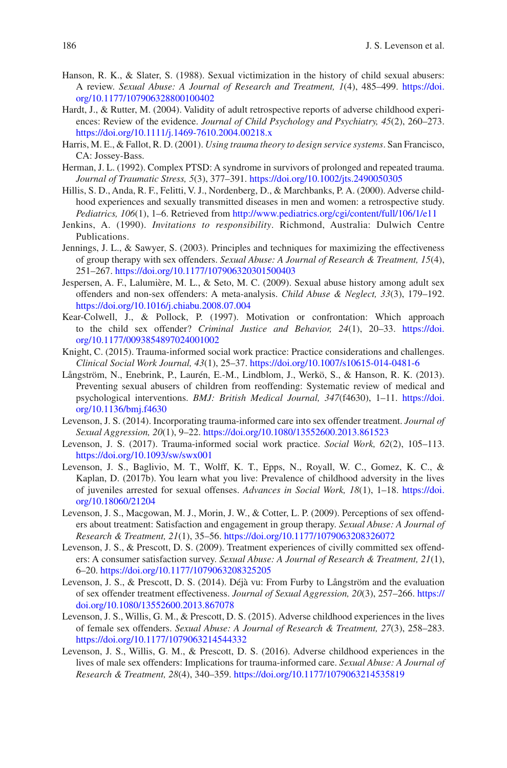- <span id="page-15-2"></span>Hanson, R. K., & Slater, S. (1988). Sexual victimization in the history of child sexual abusers: A review. *Sexual Abuse: A Journal of Research and Treatment, 1*(4), 485–499. [https://doi.](https://doi.org/10.1177/107906328800100402) [org/10.1177/107906328800100402](https://doi.org/10.1177/107906328800100402)
- <span id="page-15-4"></span>Hardt, J., & Rutter, M. (2004). Validity of adult retrospective reports of adverse childhood experiences: Review of the evidence. *Journal of Child Psychology and Psychiatry, 45*(2), 260–273. <https://doi.org/10.1111/j.1469-7610.2004.00218.x>
- <span id="page-15-14"></span>Harris, M. E., & Fallot, R. D. (2001). *Using trauma theory to design service systems*. San Francisco, CA: Jossey-Bass.
- <span id="page-15-5"></span>Herman, J. L. (1992). Complex PTSD: A syndrome in survivors of prolonged and repeated trauma. *Journal of Traumatic Stress, 5*(3), 377–391.<https://doi.org/10.1002/jts.2490050305>
- <span id="page-15-6"></span>Hillis, S. D., Anda, R. F., Felitti, V. J., Nordenberg, D., & Marchbanks, P. A. (2000). Adverse childhood experiences and sexually transmitted diseases in men and women: a retrospective study. *Pediatrics, 106*(1), 1–6. Retrieved from <http://www.pediatrics.org/cgi/content/full/106/1/e11>
- <span id="page-15-13"></span>Jenkins, A. (1990). *Invitations to responsibility*. Richmond, Australia: Dulwich Centre Publications.
- <span id="page-15-18"></span>Jennings, J. L., & Sawyer, S. (2003). Principles and techniques for maximizing the effectiveness of group therapy with sex offenders. *Sexual Abuse: A Journal of Research & Treatment, 15*(4), 251–267. <https://doi.org/10.1177/107906320301500403>
- <span id="page-15-3"></span>Jespersen, A. F., Lalumière, M. L., & Seto, M. C. (2009). Sexual abuse history among adult sex offenders and non-sex offenders: A meta-analysis. *Child Abuse & Neglect, 33*(3), 179–192. <https://doi.org/10.1016/j.chiabu.2008.07.004>
- <span id="page-15-12"></span>Kear-Colwell, J., & Pollock, P. (1997). Motivation or confrontation: Which approach to the child sex offender? *Criminal Justice and Behavior, 24*(1), 20–33. [https://doi.](https://doi.org/10.1177/0093854897024001002) [org/10.1177/0093854897024001002](https://doi.org/10.1177/0093854897024001002)
- <span id="page-15-8"></span>Knight, C. (2015). Trauma-informed social work practice: Practice considerations and challenges. *Clinical Social Work Journal, 43*(1), 25–37. <https://doi.org/10.1007/s10615-014-0481-6>
- <span id="page-15-11"></span>Långström, N., Enebrink, P., Laurén, E.-M., Lindblom, J., Werkö, S., & Hanson, R. K. (2013). Preventing sexual abusers of children from reoffending: Systematic review of medical and psychological interventions. *BMJ: British Medical Journal, 347*(f4630), 1–11. [https://doi.](https://doi.org/10.1136/bmj.f4630) [org/10.1136/bmj.f4630](https://doi.org/10.1136/bmj.f4630)
- <span id="page-15-15"></span>Levenson, J. S. (2014). Incorporating trauma-informed care into sex offender treatment. *Journal of Sexual Aggression, 20*(1), 9–22.<https://doi.org/10.1080/13552600.2013.861523>
- <span id="page-15-9"></span>Levenson, J. S. (2017). Trauma-informed social work practice. *Social Work, 62*(2), 105–113. <https://doi.org/10.1093/sw/swx001>
- <span id="page-15-7"></span>Levenson, J. S., Baglivio, M. T., Wolff, K. T., Epps, N., Royall, W. C., Gomez, K. C., & Kaplan, D. (2017b). You learn what you live: Prevalence of childhood adversity in the lives of juveniles arrested for sexual offenses. *Advances in Social Work, 18*(1), 1–18. [https://doi.](https://doi.org/10.18060/21204) [org/10.18060/21204](https://doi.org/10.18060/21204)
- <span id="page-15-16"></span>Levenson, J. S., Macgowan, M. J., Morin, J. W., & Cotter, L. P. (2009). Perceptions of sex offenders about treatment: Satisfaction and engagement in group therapy. *Sexual Abuse: A Journal of Research & Treatment, 21*(1), 35–56.<https://doi.org/10.1177/1079063208326072>
- <span id="page-15-17"></span>Levenson, J. S., & Prescott, D. S. (2009). Treatment experiences of civilly committed sex offenders: A consumer satisfaction survey. *Sexual Abuse: A Journal of Research & Treatment, 21*(1), 6–20.<https://doi.org/10.1177/1079063208325205>
- <span id="page-15-10"></span>Levenson, J. S., & Prescott, D. S. (2014). Déjà vu: From Furby to Långström and the evaluation of sex offender treatment effectiveness. *Journal of Sexual Aggression, 20*(3), 257–266. [https://](https://doi.org/10.1080/13552600.2013.867078) [doi.org/10.1080/13552600.2013.867078](https://doi.org/10.1080/13552600.2013.867078)
- <span id="page-15-0"></span>Levenson, J. S., Willis, G. M., & Prescott, D. S. (2015). Adverse childhood experiences in the lives of female sex offenders. *Sexual Abuse: A Journal of Research & Treatment, 27*(3), 258–283. <https://doi.org/10.1177/1079063214544332>
- <span id="page-15-1"></span>Levenson, J. S., Willis, G. M., & Prescott, D. S. (2016). Adverse childhood experiences in the lives of male sex offenders: Implications for trauma-informed care. *Sexual Abuse: A Journal of Research & Treatment, 28*(4), 340–359. <https://doi.org/10.1177/1079063214535819>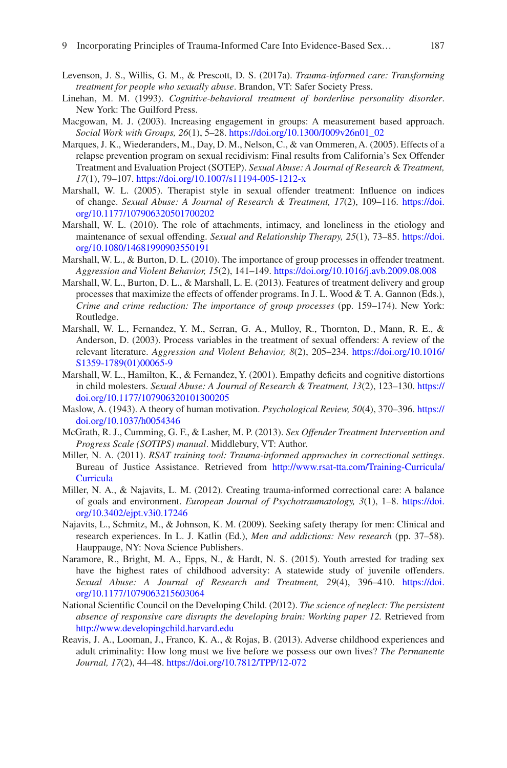- <span id="page-16-6"></span>Levenson, J. S., Willis, G. M., & Prescott, D. S. (2017a). *Trauma-informed care: Transforming treatment for people who sexually abuse*. Brandon, VT: Safer Society Press.
- <span id="page-16-13"></span>Linehan, M. M. (1993). *Cognitive-behavioral treatment of borderline personality disorder*. New York: The Guilford Press.
- <span id="page-16-16"></span>Macgowan, M. J. (2003). Increasing engagement in groups: A measurement based approach. *Social Work with Groups, 26*(1), 5–28. [https://doi.org/10.1300/J009v26n01\\_02](https://doi.org/10.1300/J009v26n01_02)
- <span id="page-16-8"></span>Marques, J. K., Wiederanders, M., Day, D. M., Nelson, C., & van Ommeren, A. (2005). Effects of a relapse prevention program on sexual recidivism: Final results from California's Sex Offender Treatment and Evaluation Project (SOTEP). *Sexual Abuse: A Journal of Research & Treatment, 17*(1), 79–107.<https://doi.org/10.1007/s11194-005-1212-x>
- <span id="page-16-14"></span>Marshall, W. L. (2005). Therapist style in sexual offender treatment: Influence on indices of change. *Sexual Abuse: A Journal of Research & Treatment, 17*(2), 109–116. [https://doi.](https://doi.org/10.1177/107906320501700202) [org/10.1177/107906320501700202](https://doi.org/10.1177/107906320501700202)
- <span id="page-16-3"></span>Marshall, W. L. (2010). The role of attachments, intimacy, and loneliness in the etiology and maintenance of sexual offending. *Sexual and Relationship Therapy, 25*(1), 73–85. [https://doi.](https://doi.org/10.1080/14681990903550191) [org/10.1080/14681990903550191](https://doi.org/10.1080/14681990903550191)
- <span id="page-16-4"></span>Marshall, W. L., & Burton, D. L. (2010). The importance of group processes in offender treatment. *Aggression and Violent Behavior, 15*(2), 141–149. <https://doi.org/10.1016/j.avb.2009.08.008>
- <span id="page-16-5"></span>Marshall, W. L., Burton, D. L., & Marshall, L. E. (2013). Features of treatment delivery and group processes that maximize the effects of offender programs. In J. L. Wood & T. A. Gannon (Eds.), *Crime and crime reduction: The importance of group processes* (pp. 159–174). New York: Routledge.
- <span id="page-16-17"></span>Marshall, W. L., Fernandez, Y. M., Serran, G. A., Mulloy, R., Thornton, D., Mann, R. E., & Anderson, D. (2003). Process variables in the treatment of sexual offenders: A review of the relevant literature. *Aggression and Violent Behavior, 8*(2), 205–234. [https://doi.org/10.1016/](https://doi.org/10.1016/S1359-1789(01)00065-9) [S1359-1789\(01\)00065-9](https://doi.org/10.1016/S1359-1789(01)00065-9)
- <span id="page-16-10"></span>Marshall, W. L., Hamilton, K., & Fernandez, Y. (2001). Empathy deficits and cognitive distortions in child molesters. *Sexual Abuse: A Journal of Research & Treatment, 13*(2), 123–130. [https://](https://doi.org/10.1177/107906320101300205) [doi.org/10.1177/107906320101300205](https://doi.org/10.1177/107906320101300205)
- <span id="page-16-15"></span>Maslow, A. (1943). A theory of human motivation. *Psychological Review, 50*(4), 370–396. [https://](https://doi.org/10.1037/h0054346) [doi.org/10.1037/h0054346](https://doi.org/10.1037/h0054346)
- <span id="page-16-12"></span>McGrath, R. J., Cumming, G. F., & Lasher, M. P. (2013). *Sex Offender Treatment Intervention and Progress Scale (SOTIPS) manual*. Middlebury, VT: Author.
- <span id="page-16-9"></span>Miller, N. A. (2011). *RSAT training tool: Trauma-informed approaches in correctional settings*. Bureau of Justice Assistance. Retrieved from [http://www.rsat-tta.com/Training-Curricula/](http://www.rsat-tta.com/Training-Curricula/Curricula) [Curricula](http://www.rsat-tta.com/Training-Curricula/Curricula)
- <span id="page-16-1"></span>Miller, N. A., & Najavits, L. M. (2012). Creating trauma-informed correctional care: A balance of goals and environment. *European Journal of Psychotraumatology, 3*(1), 1–8. [https://doi.](https://doi.org/10.3402/ejpt.v3i0.17246) [org/10.3402/ejpt.v3i0.17246](https://doi.org/10.3402/ejpt.v3i0.17246)
- <span id="page-16-2"></span>Najavits, L., Schmitz, M., & Johnson, K. M. (2009). Seeking safety therapy for men: Clinical and research experiences. In L. J. Katlin (Ed.), *Men and addictions: New research* (pp. 37–58). Hauppauge, NY: Nova Science Publishers.
- <span id="page-16-7"></span>Naramore, R., Bright, M. A., Epps, N., & Hardt, N. S. (2015). Youth arrested for trading sex have the highest rates of childhood adversity: A statewide study of juvenile offenders. *Sexual Abuse: A Journal of Research and Treatment, 29*(4), 396–410. [https://doi.](https://doi.org/10.1177/1079063215603064) [org/10.1177/1079063215603064](https://doi.org/10.1177/1079063215603064)
- <span id="page-16-11"></span>National Scientific Council on the Developing Child. (2012). *The science of neglect: The persistent absence of responsive care disrupts the developing brain: Working paper 12.* Retrieved from <http://www.developingchild.harvard.edu>
- <span id="page-16-0"></span>Reavis, J. A., Looman, J., Franco, K. A., & Rojas, B. (2013). Adverse childhood experiences and adult criminality: How long must we live before we possess our own lives? *The Permanente Journal, 17*(2), 44–48.<https://doi.org/10.7812/TPP/12-072>